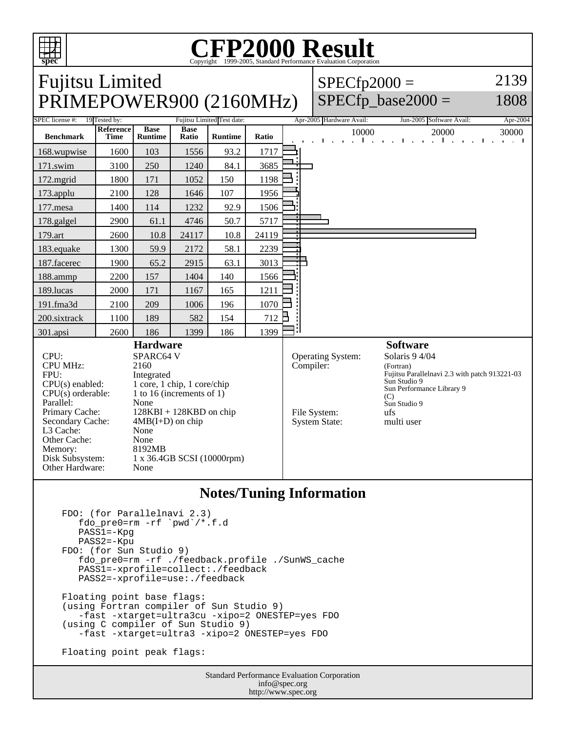

## **CFP2000 Result** Copyright ©1999-2005, Standard

Fujitsu Limited PRIMEPOWER900 (2160MHz)  $SPECfp2000 =$ SPECfp base2000  $=$ 2139 1808 SPEC license #: 19 Tested by: Fujitsu Limited Test date: Apr-2005 Hardware Avail: Jun-2005 Software Avail: Apr-2004 **Benchmark Reference Time Base Runtime Base Ratio Runtime Ratio** 10000 20000 30000 168.wupwise 1600 103 1556 93.2 1717 171.swim | 3100 | 250 | 1240 | 84.1 | 3685 172.mgrid | 1800 | 171 | 1052 | 150 | 1198 173.applu | 2100 | 128 | 1646 | 107 | 1956 177.mesa | 1400 | 114 | 1232 | 92.9 | 1506 178.galgel | 2900 61.1 4746 50.7 5717 179.art 2600 10.8 24117 10.8 24119 183.equake 1300 59.9 2172 58.1 2239 187.facerec | 1900 65.2 2915 63.1 3013 188.ammp | 2200 | 157 | 1404 | 140 | 1566 189.lucas | 2000 | 171 | 1167 | 165 | 1211 191.fma3d 2100 209 1006 196 1070 200.sixtrack 1100 189 582 154 712 301.apsi 2600 186 1399 186 1399 **Hardware** CPU: SPARC64 V CPU MHz: 2160 FPU: Integrated  $CPU(s)$  enabled:  $1$  core, 1 chip, 1 core/chip<br>CPU(s) orderable:  $1$  to 16 (increments of 1) 1 to 16 (increments of 1) Parallel: None<br>Primary Cache: 128K  $128KBI + 128KBD$  on chip Secondary Cache:  $4MB(I+D)$  on chip L3 Cache: None Other Cache: None<br>Memory: 8192MB Memory: Disk Subsystem: 1 x 36.4GB SCSI (10000rpm) Other Hardware: None **Software** Operating System: Solaris 9 4/04 Compiler: (Fortran) Fujitsu Parallelnavi 2.3 with patch 913221-03 Sun Studio 9 Sun Performance Library 9  $(C)$ Sun Studio 9 File System: ufs<br>System State: multi user System State:

## **Notes/Tuning Information**

```
 FDO: (for Parallelnavi 2.3)
   fdo_pre0=rm -rf `pwd`/*.f.d
   PASS1=-Kpg
  PASS2=-Kpu
FDO: (for Sun Studio 9)
   fdo_pre0=rm -rf ./feedback.profile ./SunWS_cache
   PASS1=-xprofile=collect:./feedback
   PASS2=-xprofile=use:./feedback
Floating point base flags:
(using Fortran compiler of Sun Studio 9)
   -fast -xtarget=ultra3cu -xipo=2 ONESTEP=yes FDO
(using C compiler of Sun Studio 9)
   -fast -xtarget=ultra3 -xipo=2 ONESTEP=yes FDO
Floating point peak flags:
```
Standard Performance Evaluation Corporation info@spec.org http://www.spec.org